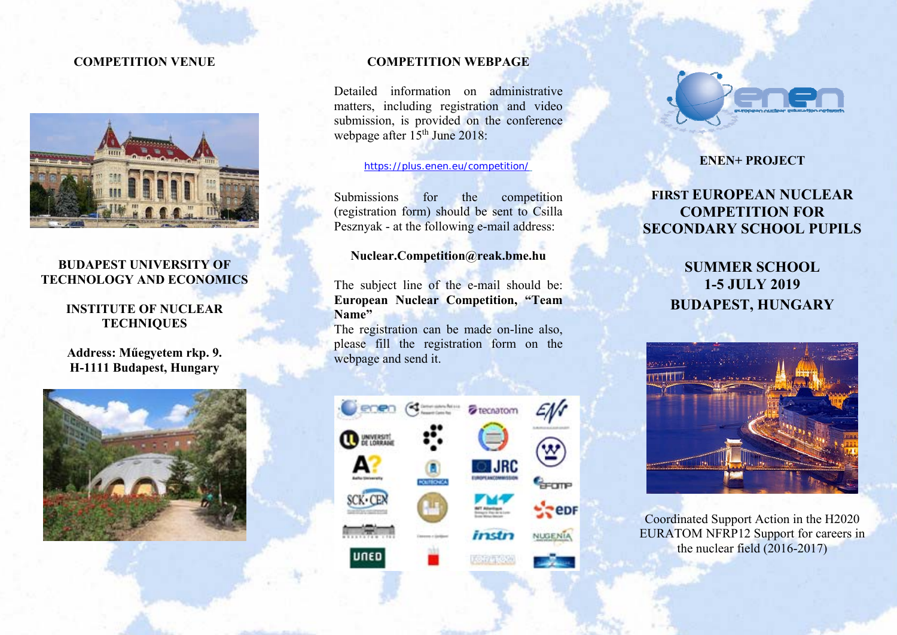## **COMPETITION VENUE**



## **BUDAPEST UNIVERSITY OF TECHNOLOGY AND ECONOMICS**

## **INSTITUTE OF NUCLEAR TECHNIQUES**

**Address: Műegyetem rkp. 9. H-1111 Budapest, Hungary** 



### **COMPETITION WEBPAGE**

Detailed information on administrative matters, including registration and video submission, is provided on the conference webpage after 15<sup>th</sup> June 2018:

#### https://plus.enen.eu/competition/

Submissions for the competition (registration form) should be sent to Csilla Pesznyak - at the following e-mail address:

## **Nuclear.Competition@reak.bme.hu**

The subject line of the e-mail should be: **European Nuclear Competition, "Team Name"**

The registration can be made on-line also, please fill the registration form on the webpage and send it.





### **ENEN+ PROJECT**

# **FIRST EUROPEAN NUCLEAR COMPETITION FOR SECONDARY SCHOOL PUPILS**

**SUMMER SCHOOL 1-5 JULY 2019 BUDAPEST, HUNGARY** 



Coordinated Support Action in the H2020 EURATOM NFRP12 Support for careers in the nuclear field (2016-2017)